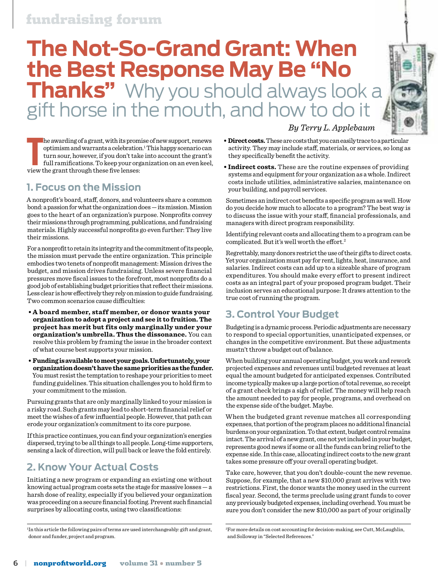# **The Not-So-Grand Grant: When the Best Response May Be "No Thanks"** Why you should always look a gift horse in the mouth, and how to do it



**The awarding of a grant, with its prompton optimism and warrants a celebration turn sour, however, if you don't tak full ramifications. To keep your org view the grant through these five lenses:** he awarding of a grant, with its promise of new support, renews optimism and warrants a celebration.<sup>1</sup> This happy scenario can turn sour, however, if you don't take into account the grant's full ramifications. To keep your organization on an even keel,

#### **1. Focus on the Mission**

A nonprofit's board, staff, donors, and volunteers share a common bond: a passion for what the organization does — its mission. Mission goes to the heart of an organization's purpose. Nonprofits convey their missions through programming, publications, and fundraising materials. Highly successful nonprofits go even further: They live their missions.

For a nonprofit to retain its integrity and the commitment of its people, the mission must pervade the entire organization. This principle embodies two tenets of nonprofit management: Mission drives the budget, and mission drives fundraising. Unless severe financial pressures move fiscal issues to the forefront, most nonprofits do a good job of establishing budget priorities that reflect their missions. Less clear is how effectively they rely on mission to guide fundraising. Two common scenarios cause difficulties:

- **A board member, staff member, or donor wants your organization to adopt a project and see it to fruition. The project has merit but fits only marginally under your organization's umbrella. Thus the dissonance.** You can resolve this problem by framing the issue in the broader context of what course best supports your mission.
- **Funding is available to meet your goals. Unfortunately, your organization doesn't have the same priorities as the funder.** You must resist the temptation to reshape your priorities to meet funding guidelines. This situation challenges you to hold firm to your commitment to the mission.

Pursuing grants that are only marginally linked to your mission is a risky road. Such grants may lead to short-term financial relief or meet the wishes of a few influential people. However, that path can erode your organization's commitment to its core purpose.

If this practice continues, you can find your organization's energies dispersed, trying to be all things to all people. Long-time supporters, sensing a lack of direction, will pull back or leave the fold entirely.

## **2. Know Your Actual Costs**

Initiating a new program or expanding an existing one without knowing actual program costs sets the stage for massive losses  $-$  a harsh dose of reality, especially if you believed your organization was proceeding on a secure financial footing. Prevent such financial surprises by allocating costs, using two classifications:

**• Direct costs.** These are costs that you can easily trace to a particular activity. They may include staff, materials, or services, so long as they specifically benefit the activity.

 *By Terry L. Applebaum*

**• Indirect costs.** These are the routine expenses of providing systems and equipment for your organization as a whole. Indirect costs include utilities, administrative salaries, maintenance on your building, and payroll services.

Sometimes an indirect cost benefits a specific program as well. How do you decide how much to allocate to a program? The best way is to discuss the issue with your staff, financial professionals, and managers with direct program responsibility.

Identifying relevant costs and allocating them to a program can be complicated. But it's well worth the effort.<sup>2</sup>

Regrettably, many donors restrict the use of their gifts to direct costs. Yet your organization must pay for rent, lights, heat, insurance, and salaries. Indirect costs can add up to a sizeable share of program expenditures. You should make every effort to present indirect costs as an integral part of your proposed program budget. Their inclusion serves an educational purpose: It draws attention to the true cost of running the program.

## **3. Control Your Budget**

Budgeting is a dynamic process. Periodic adjustments are necessary to respond to special opportunities, unanticipated expenses, or changes in the competitive environment. But these adjustments mustn't throw a budget out of balance.

When building your annual operating budget, you work and rework projected expenses and revenues until budgeted revenues at least equal the amount budgeted for anticipated expenses. Contributed income typically makes up a large portion of total revenue, so receipt of a grant check brings a sigh of relief. The money will help reach the amount needed to pay for people, programs, and overhead on the expense side of the budget. Maybe.

When the budgeted grant revenue matches all corresponding expenses, that portion of the program places no additional financial burdens on your organization. To that extent, budget control remains intact. The arrival of a new grant, one not yet included in your budget, represents good news if some or all the funds can bring relief to the expense side. In this case, allocating indirect costs to the new grant takes some pressure off your overall operating budget.

Take care, however, that you don't double-count the new revenue. Suppose, for example, that a new \$10,000 grant arrives with two restrictions. First, the donor wants the money used in the current fiscal year. Second, the terms preclude using grant funds to cover any previously budgeted expenses, including overhead. You must be sure you don't consider the new \$10,000 as part of your originally

<sup>1</sup> In this article the following pairs of terms are used interchangeably: gift and grant, donor and funder, project and program.

<sup>2</sup> For more details on cost accounting for decision-making, see Cutt, McLaughlin, and Solloway in "Selected References."